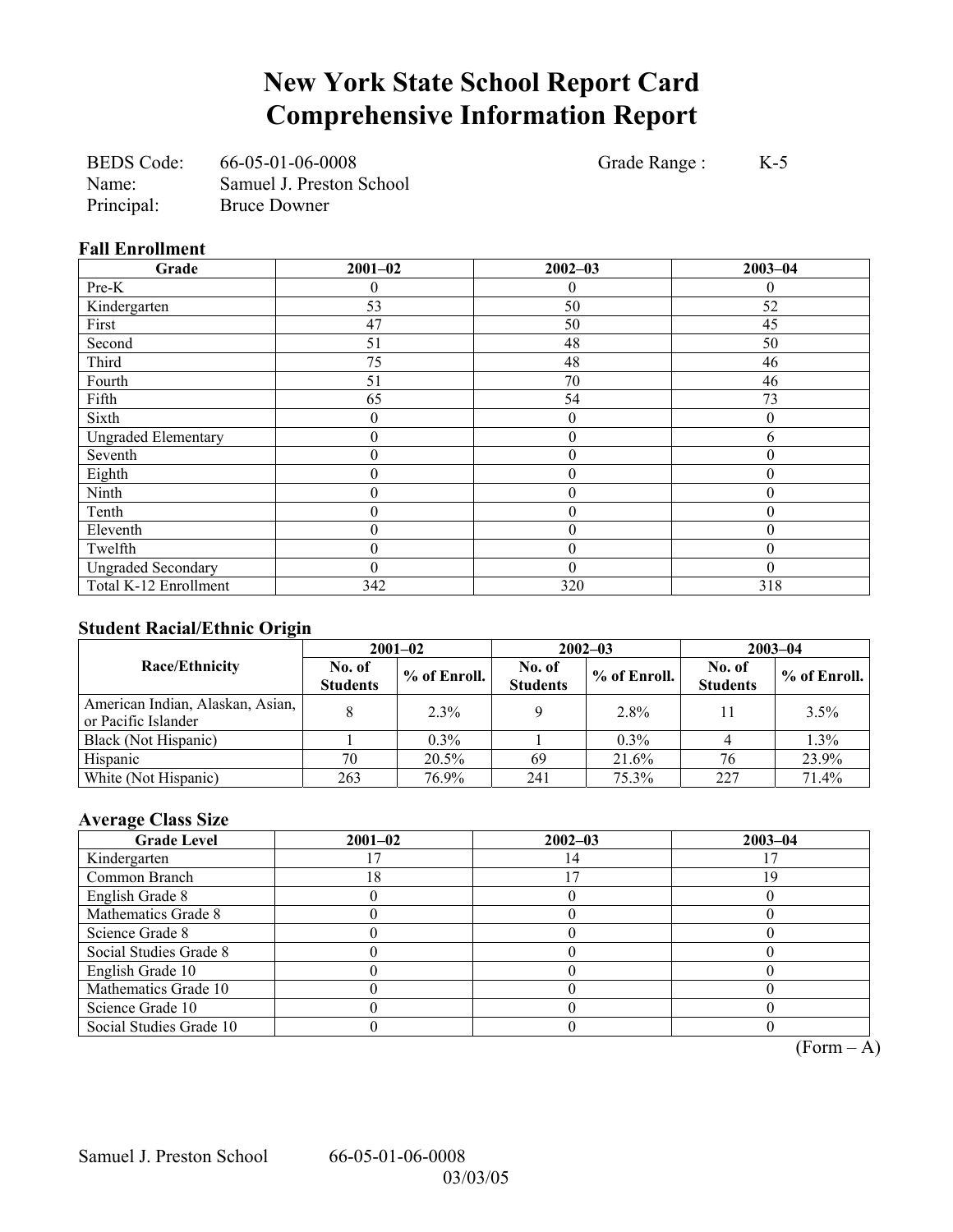# **New York State School Report Card Comprehensive Information Report**

BEDS Code: 66-05-01-06-0008 Grade Range : K-5 Name: Samuel J. Preston School Principal: Bruce Downer

### **Fall Enrollment**

| Grade                      | $2001 - 02$ | $2002 - 03$      | $2003 - 04$ |
|----------------------------|-------------|------------------|-------------|
| Pre-K                      |             | 0                | 0           |
| Kindergarten               | 53          | 50               | 52          |
| First                      | 47          | 50               | 45          |
| Second                     | 51          | 48               | 50          |
| Third                      | 75          | 48               | 46          |
| Fourth                     | 51          | 70               | 46          |
| Fifth                      | 65          | 54               | 73          |
| Sixth                      | 0           | $\boldsymbol{0}$ | $\theta$    |
| <b>Ungraded Elementary</b> | 0           | $\boldsymbol{0}$ | 6           |
| Seventh                    | 0           | $\theta$         | 0           |
| Eighth                     | 0           | $\boldsymbol{0}$ | 0           |
| Ninth                      | 0           | $\mathbf{0}$     | 0           |
| Tenth                      | 0           | $\boldsymbol{0}$ | $\Omega$    |
| Eleventh                   | 0           | $\boldsymbol{0}$ | $\theta$    |
| Twelfth                    | 0           | $\theta$         | $\Omega$    |
| <b>Ungraded Secondary</b>  | 0           | $\theta$         | $\theta$    |
| Total K-12 Enrollment      | 342         | 320              | 318         |

## **Student Racial/Ethnic Origin**

| ັ                                                       |                           | $2001 - 02$    |                           | $2002 - 03$  | $2003 - 04$               |              |
|---------------------------------------------------------|---------------------------|----------------|---------------------------|--------------|---------------------------|--------------|
| <b>Race/Ethnicity</b>                                   | No. of<br><b>Students</b> | $%$ of Enroll. | No. of<br><b>Students</b> | % of Enroll. | No. of<br><b>Students</b> | % of Enroll. |
| American Indian, Alaskan, Asian,<br>or Pacific Islander |                           | 2.3%           |                           | 2.8%         |                           | 3.5%         |
| Black (Not Hispanic)                                    |                           | $0.3\%$        |                           | $0.3\%$      |                           | 1.3%         |
| Hispanic                                                | 70                        | 20.5%          | 69                        | 21.6%        | 76                        | 23.9%        |
| White (Not Hispanic)                                    | 263                       | 76.9%          | 241                       | 75.3%        | 227                       | 71.4%        |

## **Average Class Size**

| <b>Grade Level</b>      | $2001 - 02$ | $2002 - 03$ | $2003 - 04$ |
|-------------------------|-------------|-------------|-------------|
| Kindergarten            |             |             |             |
| Common Branch           | 8           |             | 19          |
| English Grade 8         |             |             |             |
| Mathematics Grade 8     |             |             |             |
| Science Grade 8         |             |             |             |
| Social Studies Grade 8  |             |             |             |
| English Grade 10        |             |             |             |
| Mathematics Grade 10    |             |             |             |
| Science Grade 10        |             |             |             |
| Social Studies Grade 10 |             |             |             |

 $\overline{(Form - A)}$ 

Samuel J. Preston School 66-05-01-06-0008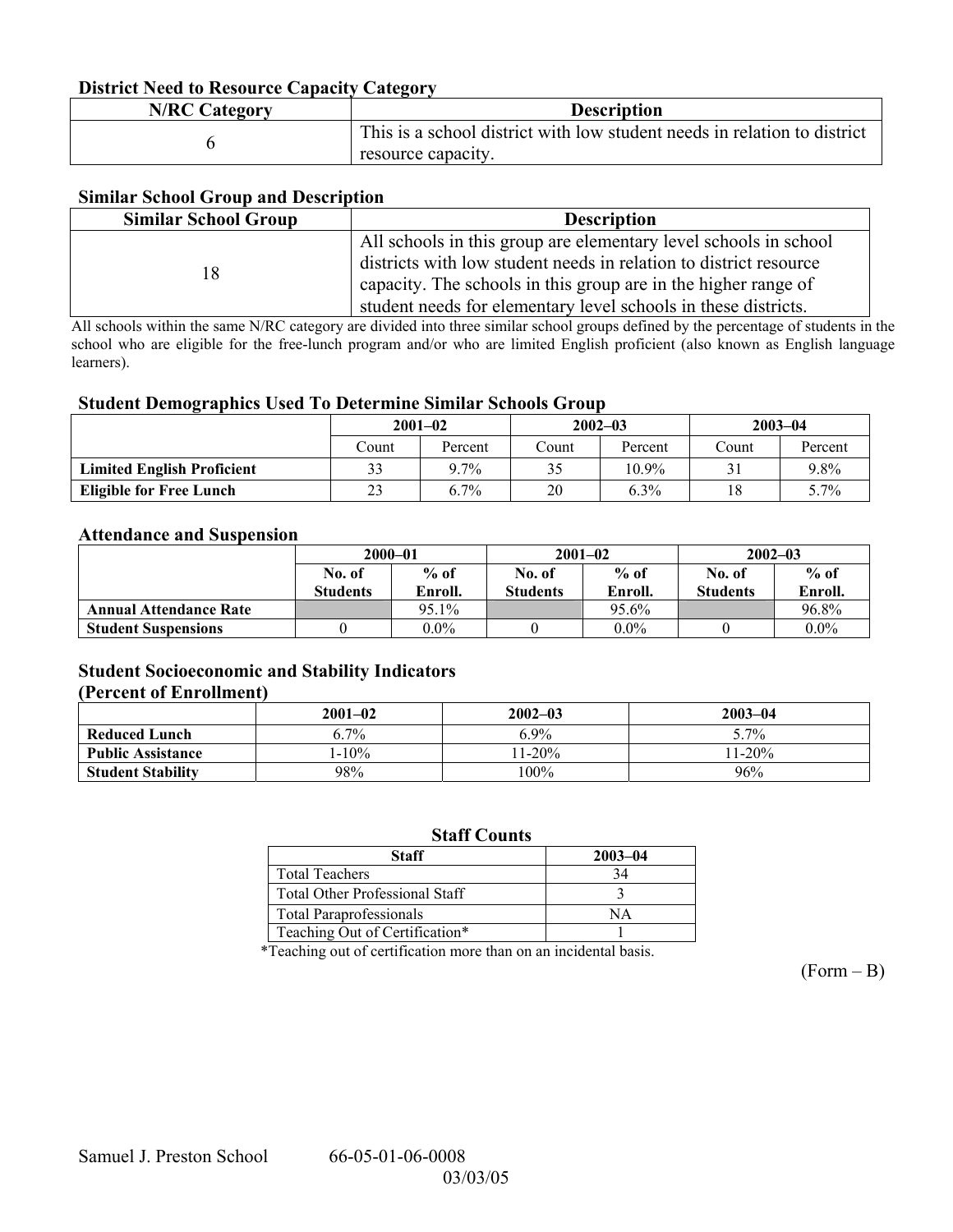### **District Need to Resource Capacity Category**

| <b>N/RC Category</b> | <b>Description</b>                                                                             |
|----------------------|------------------------------------------------------------------------------------------------|
|                      | This is a school district with low student needs in relation to district<br>resource capacity. |

#### **Similar School Group and Description**

| <b>Similar School Group</b> | <b>Description</b>                                                                                                                                                                                                                                                        |
|-----------------------------|---------------------------------------------------------------------------------------------------------------------------------------------------------------------------------------------------------------------------------------------------------------------------|
| 18                          | All schools in this group are elementary level schools in school<br>districts with low student needs in relation to district resource<br>capacity. The schools in this group are in the higher range of<br>student needs for elementary level schools in these districts. |

All schools within the same N/RC category are divided into three similar school groups defined by the percentage of students in the school who are eligible for the free-lunch program and/or who are limited English proficient (also known as English language learners).

#### **Student Demographics Used To Determine Similar Schools Group**

|                                   | $2001 - 02$ |         |        | $2002 - 03$ |       | $2003 - 04$ |  |
|-----------------------------------|-------------|---------|--------|-------------|-------|-------------|--|
|                                   | Count       | Percent | Count. | Percent     | Count | Percent     |  |
| <b>Limited English Proficient</b> | 33          | $9.7\%$ |        | $10.9\%$    |       | 9.8%        |  |
| <b>Eligible for Free Lunch</b>    | 23          | $6.7\%$ | 20     | 6.3%        | 18    | 5.7%        |  |

#### **Attendance and Suspension**

|                               | $2000 - 01$      |         |                 | $2001 - 02$ | $2002 - 03$     |         |
|-------------------------------|------------------|---------|-----------------|-------------|-----------------|---------|
|                               | $%$ of<br>No. of |         | No. of          | $%$ of      | No. of          | $%$ of  |
|                               | <b>Students</b>  | Enroll. | <b>Students</b> | Enroll.     | <b>Students</b> | Enroll. |
| <b>Annual Attendance Rate</b> |                  | 95.1%   |                 | 95.6%       |                 | 96.8%   |
| <b>Student Suspensions</b>    |                  | $0.0\%$ |                 | $0.0\%$     |                 | $0.0\%$ |

#### **Student Socioeconomic and Stability Indicators (Percent of Enrollment)**

|                          | $2001 - 02$ | $2002 - 03$ | $2003 - 04$ |
|--------------------------|-------------|-------------|-------------|
| <b>Reduced Lunch</b>     | $6.7\%$     | 6.9%        | 5.7%        |
| <b>Public Assistance</b> | $1-10\%$    | $1-20%$     | $11-20%$    |
| <b>Student Stability</b> | 98%         | 100%        | 96%         |

#### **Staff Counts**

| <b>Staff</b>                          | $2003 - 04$ |
|---------------------------------------|-------------|
| <b>Total Teachers</b>                 |             |
| <b>Total Other Professional Staff</b> |             |
| <b>Total Paraprofessionals</b>        | NА          |
| Teaching Out of Certification*        |             |

\*Teaching out of certification more than on an incidental basis.

 $(Form - B)$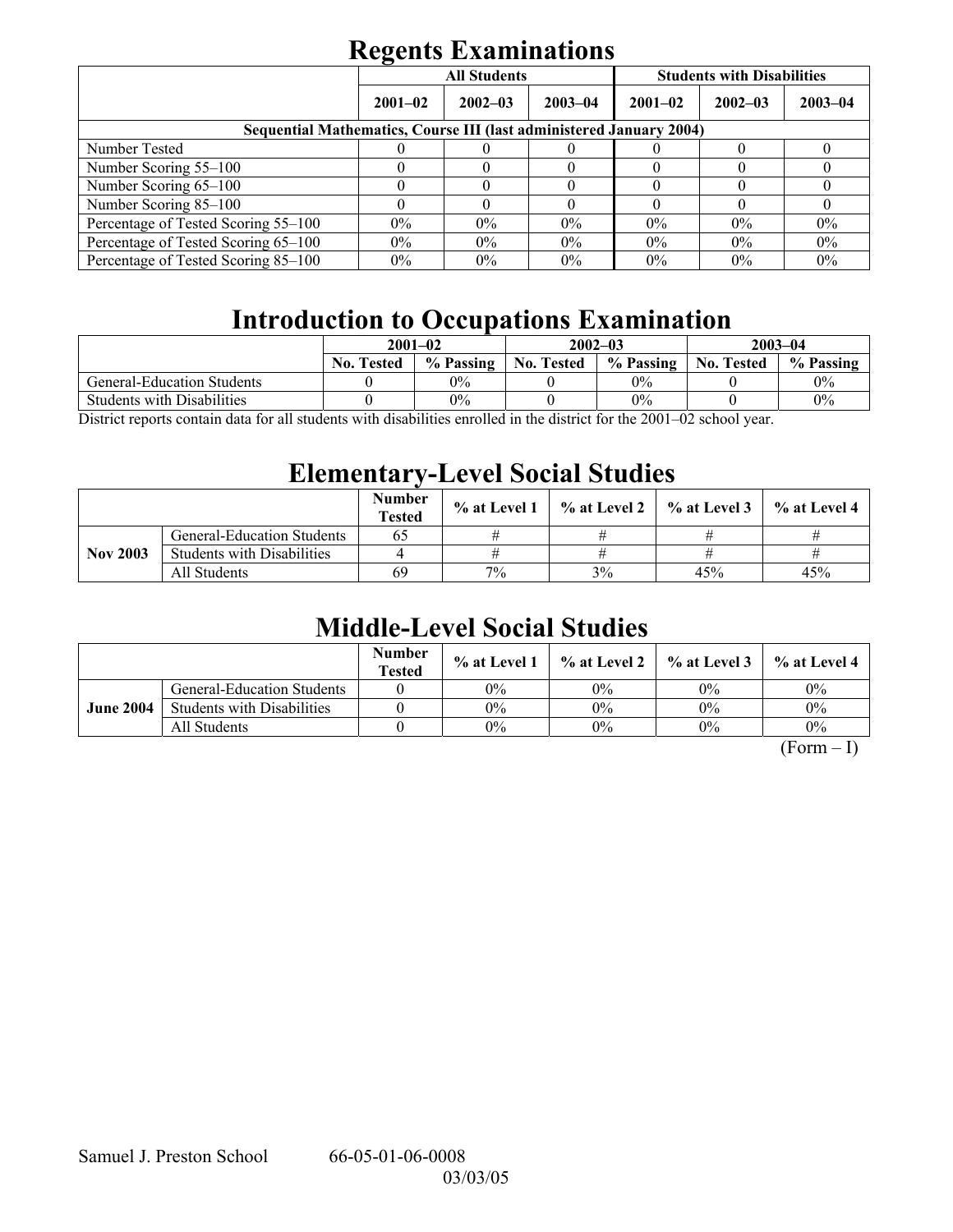# **Regents Examinations**

|                                                                     | . .         | <b>All Students</b> |             | <b>Students with Disabilities</b> |             |             |  |  |
|---------------------------------------------------------------------|-------------|---------------------|-------------|-----------------------------------|-------------|-------------|--|--|
|                                                                     | $2001 - 02$ | $2002 - 03$         | $2003 - 04$ | $2001 - 02$                       | $2002 - 03$ | $2003 - 04$ |  |  |
| Sequential Mathematics, Course III (last administered January 2004) |             |                     |             |                                   |             |             |  |  |
| Number Tested                                                       |             |                     |             |                                   |             |             |  |  |
| Number Scoring 55–100                                               |             |                     |             |                                   |             |             |  |  |
| Number Scoring 65-100                                               |             |                     |             |                                   |             |             |  |  |
| Number Scoring 85-100                                               |             |                     |             |                                   |             |             |  |  |
| Percentage of Tested Scoring 55-100                                 | $0\%$       | $0\%$               | $0\%$       | $0\%$                             | $0\%$       | 0%          |  |  |
| Percentage of Tested Scoring 65-100                                 | $0\%$       | $0\%$               | $0\%$       | $0\%$                             | $0\%$       | $0\%$       |  |  |
| Percentage of Tested Scoring 85–100                                 | $0\%$       | $0\%$               | $0\%$       | $0\%$                             | $0\%$       | $0\%$       |  |  |

# **Introduction to Occupations Examination**

|                                   | $2001 - 02$                                     |                                                     |                                                                                           | $2002 - 03$ | $2003 - 04$       |           |
|-----------------------------------|-------------------------------------------------|-----------------------------------------------------|-------------------------------------------------------------------------------------------|-------------|-------------------|-----------|
|                                   | <b>No. Tested</b>                               | % Passing                                           | <b>No. Tested</b>                                                                         | % Passing   | <b>No. Tested</b> | % Passing |
| General-Education Students        |                                                 | 0%                                                  |                                                                                           | $0\%$       |                   | $0\%$     |
| <b>Students with Disabilities</b> |                                                 | 0%                                                  |                                                                                           | $0\%$       |                   | 0%        |
| $\mathbf{1}$ $\mathbf{0}$<br>11.7 | $\cdot$ , $\cdot$ , $\cdot$ , $\cdot$ , $\cdot$ | $\cdots$<br>$\mathbf{11}$ $\mathbf{1}$ $\mathbf{1}$ | $\mathbf{1}^{\star}$ , $\mathbf{1}^{\star}$ , $\mathbf{1}^{\star}$ , $\mathbf{1}^{\star}$ | 0.0102      |                   |           |

District reports contain data for all students with disabilities enrolled in the district for the 2001–02 school year.

## **Elementary-Level Social Studies**

|                 |                                   | <b>Number</b><br><b>Tested</b> | % at Level 1 |    | $\%$ at Level 2 $\%$ at Level 3 | $\%$ at Level 4 |
|-----------------|-----------------------------------|--------------------------------|--------------|----|---------------------------------|-----------------|
|                 | <b>General-Education Students</b> | 65                             |              |    |                                 |                 |
| <b>Nov 2003</b> | <b>Students with Disabilities</b> |                                |              |    |                                 |                 |
|                 | All Students                      | 69                             | 7%           | 3% | 45%                             | 45%             |

# **Middle-Level Social Studies**

|                  |                                   | <b>Number</b><br><b>Tested</b> | $\%$ at Level 1 |       | $\%$ at Level 2 $\%$ at Level 3 | $%$ at Level 4 |
|------------------|-----------------------------------|--------------------------------|-----------------|-------|---------------------------------|----------------|
| <b>June 2004</b> | <b>General-Education Students</b> |                                | $0\%$           | 0%    | $0\%$                           | $0\%$          |
|                  | <b>Students with Disabilities</b> |                                | 0%              | $0\%$ | $0\%$                           | $0\%$          |
|                  | All Students                      |                                | 0%              | $0\%$ | $0\%$                           | $0\%$          |